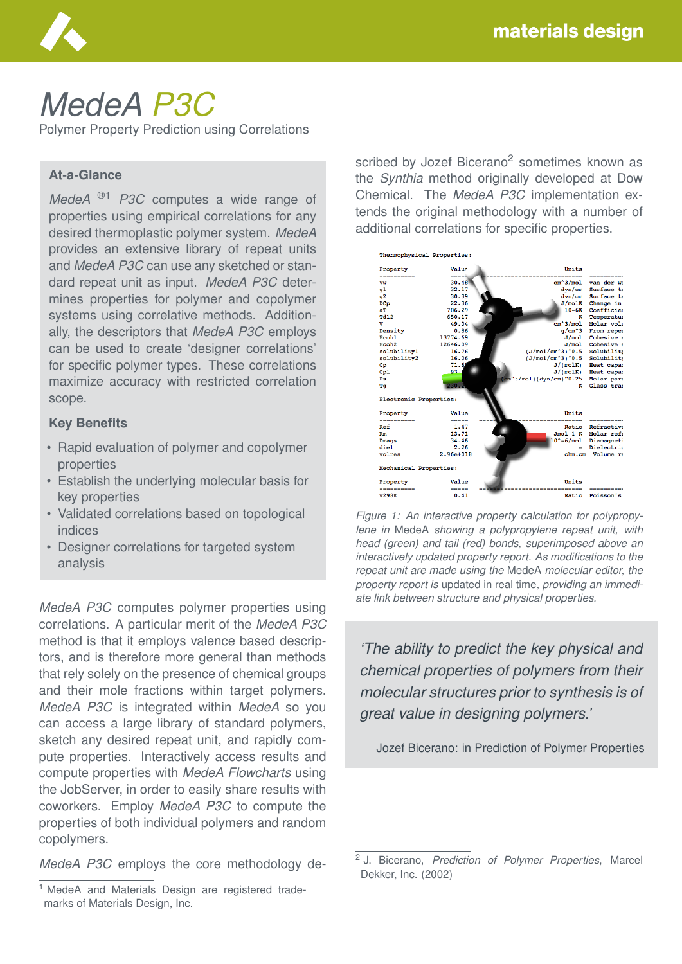

# *MedeA P3C*

Polymer Property Prediction using Correlations

#### **At-a-Glance**

*MedeA* ®1 *P3C* computes a wide range of properties using empirical correlations for any desired thermoplastic polymer system. *MedeA* provides an extensive library of repeat units and *MedeA P3C* can use any sketched or standard repeat unit as input. *MedeA P3C* determines properties for polymer and copolymer systems using correlative methods. Additionally, the descriptors that *MedeA P3C* employs can be used to create 'designer correlations' for specific polymer types. These correlations maximize accuracy with restricted correlation scope.

#### **Key Benefits**

- Rapid evaluation of polymer and copolymer properties
- Establish the underlying molecular basis for key properties
- Validated correlations based on topological indices
- Designer correlations for targeted system analysis

*MedeA P3C* computes polymer properties using correlations. A particular merit of the *MedeA P3C* method is that it employs valence based descriptors, and is therefore more general than methods that rely solely on the presence of chemical groups and their mole fractions within target polymers. *MedeA P3C* is integrated within *MedeA* so you can access a large library of standard polymers, sketch any desired repeat unit, and rapidly compute properties. Interactively access results and compute properties with *MedeA Flowcharts* using the JobServer, in order to easily share results with coworkers. Employ *MedeA P3C* to compute the properties of both individual polymers and random copolymers.

*MedeA P3C* employs the core methodology de-

scribed by Jozef Bicerano<sup>2</sup> sometimes known as the *Synthia* method originally developed at Dow Chemical. The *MedeA P3C* implementation extends the original methodology with a number of additional correlations for specific properties.



*Figure 1: An interactive property calculation for polypropylene in* MedeA *showing a polypropylene repeat unit, with head (green) and tail (red) bonds, superimposed above an interactively updated property report. As modifications to the repeat unit are made using the* MedeA *molecular editor, the property report is* updated in real time*, providing an immediate link between structure and physical properties.*

*'The ability to predict the key physical and chemical properties of polymers from their molecular structures prior to synthesis is of great value in designing polymers.'*

Jozef Bicerano: in Prediction of Polymer Properties

<sup>&</sup>lt;sup>1</sup> MedeA and Materials Design are registered trademarks of Materials Design, Inc.

<sup>2</sup> J. Bicerano, *Prediction of Polymer Properties*, Marcel Dekker, Inc. (2002)